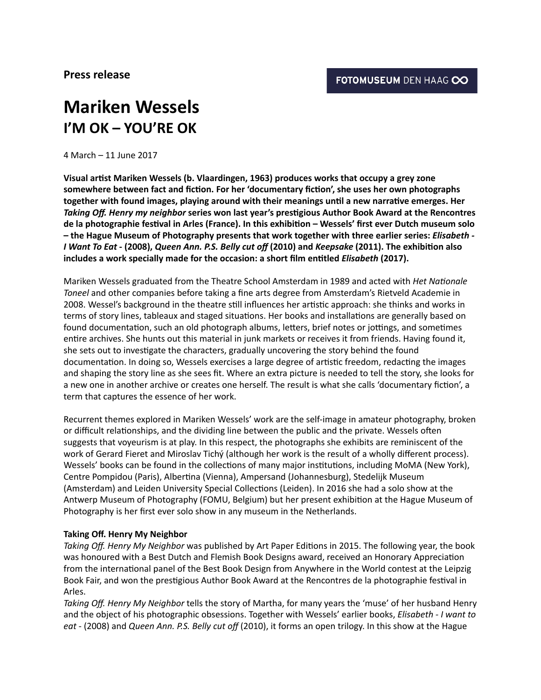## **Mariken Wessels I'M OK – YOU'RE OK**

4 March – 11 June 2017 

Visual artist Mariken Wessels (b. Vlaardingen, 1963) produces works that occupy a grey zone somewhere between fact and fiction. For her 'documentary fiction', she uses her own photographs together with found images, playing around with their meanings until a new narrative emerges. Her Taking Off. Henry my neighbor series won last year's prestigious Author Book Award at the Rencontres de la photographie festival in Arles (France). In this exhibition – Wessels' first ever Dutch museum solo - the Hague Museum of Photography presents that work together with three earlier series: *Elisabeth* -*I* Want To Eat - (2008), Queen Ann. P.S. Belly cut off (2010) and *Keepsake* (2011). The exhibition also includes a work specially made for the occasion: a short film entitled *Elisabeth* (2017).

Mariken Wessels graduated from the Theatre School Amsterdam in 1989 and acted with *Het Nationale Toneel* and other companies before taking a fine arts degree from Amsterdam's Rietveld Academie in 2008. Wessel's background in the theatre still influences her artistic approach: she thinks and works in terms of story lines, tableaux and staged situations. Her books and installations are generally based on found documentation, such an old photograph albums, letters, brief notes or jottings, and sometimes entire archives. She hunts out this material in junk markets or receives it from friends. Having found it, she sets out to investigate the characters, gradually uncovering the story behind the found documentation. In doing so, Wessels exercises a large degree of artistic freedom, redacting the images and shaping the story line as she sees fit. Where an extra picture is needed to tell the story, she looks for a new one in another archive or creates one herself. The result is what she calls 'documentary fiction', a term that captures the essence of her work.

Recurrent themes explored in Mariken Wessels' work are the self-image in amateur photography, broken or difficult relationships, and the dividing line between the public and the private. Wessels often suggests that voyeurism is at play. In this respect, the photographs she exhibits are reminiscent of the work of Gerard Fieret and Miroslav Tichý (although her work is the result of a wholly different process). Wessels' books can be found in the collections of many major institutions, including MoMA (New York), Centre Pompidou (Paris), Albertina (Vienna), Ampersand (Johannesburg), Stedelijk Museum (Amsterdam) and Leiden University Special Collections (Leiden). In 2016 she had a solo show at the Antwerp Museum of Photography (FOMU, Belgium) but her present exhibition at the Hague Museum of Photography is her first ever solo show in any museum in the Netherlands.

## **Taking Off. Henry My Neighbor**

Taking Off. Henry My Neighbor was published by Art Paper Editions in 2015. The following year, the book was honoured with a Best Dutch and Flemish Book Designs award, received an Honorary Appreciation from the international panel of the Best Book Design from Anywhere in the World contest at the Leipzig Book Fair, and won the prestigious Author Book Award at the Rencontres de la photographie festival in Arles. 

Taking Off. Henry My Neighbor tells the story of Martha, for many years the 'muse' of her husband Henry and the object of his photographic obsessions. Together with Wessels' earlier books, *Elisabeth - I want to* eat - (2008) and *Queen Ann. P.S. Belly cut off* (2010), it forms an open trilogy. In this show at the Hague